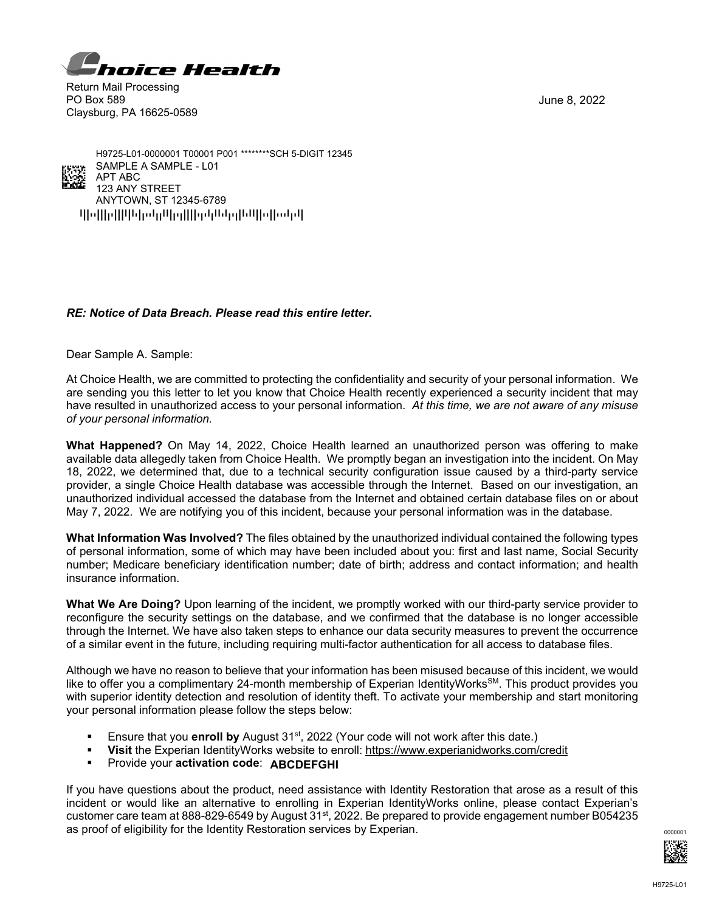

Return Mail Processing PO Box 589 Claysburg, PA 16625-0589

June 8, 2022



qpoppqppppopppppppppppppppppppppppp ANYTOWN, ST 12345-6789 123 ANY STREET APT ABC SAMPLE A SAMPLE - L01 H9725-L01-0000001 T00001 P001 \*\*\*\*\*\*\*\*SCH 5-DIGIT 12345

## *RE: Notice of Data Breach. Please read this entire letter.*

Dear Sample A. Sample:

At Choice Health, we are committed to protecting the confidentiality and security of your personal information. We are sending you this letter to let you know that Choice Health recently experienced a security incident that may have resulted in unauthorized access to your personal information. *At this time, we are not aware of any misuse of your personal information.*

**What Happened?** On May 14, 2022, Choice Health learned an unauthorized person was offering to make available data allegedly taken from Choice Health. We promptly began an investigation into the incident. On May 18, 2022, we determined that, due to a technical security configuration issue caused by a third-party service provider, a single Choice Health database was accessible through the Internet. Based on our investigation, an unauthorized individual accessed the database from the Internet and obtained certain database files on or about May 7, 2022. We are notifying you of this incident, because your personal information was in the database.

**What Information Was Involved?** The files obtained by the unauthorized individual contained the following types of personal information, some of which may have been included about you: first and last name, Social Security number; Medicare beneficiary identification number; date of birth; address and contact information; and health insurance information.

**What We Are Doing?** Upon learning of the incident, we promptly worked with our third-party service provider to reconfigure the security settings on the database, and we confirmed that the database is no longer accessible through the Internet. We have also taken steps to enhance our data security measures to prevent the occurrence of a similar event in the future, including requiring multi-factor authentication for all access to database files.

Although we have no reason to believe that your information has been misused because of this incident, we would like to offer you a complimentary 24-month membership of Experian IdentityWorks<sup>SM</sup>. This product provides you with superior identity detection and resolution of identity theft. To activate your membership and start monitoring your personal information please follow the steps below:

- **Ensure that you enroll by August 31st, 2022 (Your code will not work after this date.)**
- **Visit** the Experian IdentityWorks website to enroll: https://www.experianidworks.com/credit
- **Provide your activation code: ABCDEFGHI**

If you have questions about the product, need assistance with Identity Restoration that arose as a result of this incident or would like an alternative to enrolling in Experian IdentityWorks online, please contact Experian's customer care team at 888-829-6549 by August 31<sup>st</sup>, 2022. Be prepared to provide engagement number B054235 as proof of eligibility for the Identity Restoration services by Experian.  $\frac{1}{2}$  and  $\frac{1}{2}$  and  $\frac{1}{2}$  and  $\frac{1}{2}$  and  $\frac{1}{2}$  and  $\frac{1}{2}$  and  $\frac{1}{2}$  and  $\frac{1}{2}$  and  $\frac{1}{2}$  and  $\frac{1}{2}$  and  $\frac{1}{2$ 

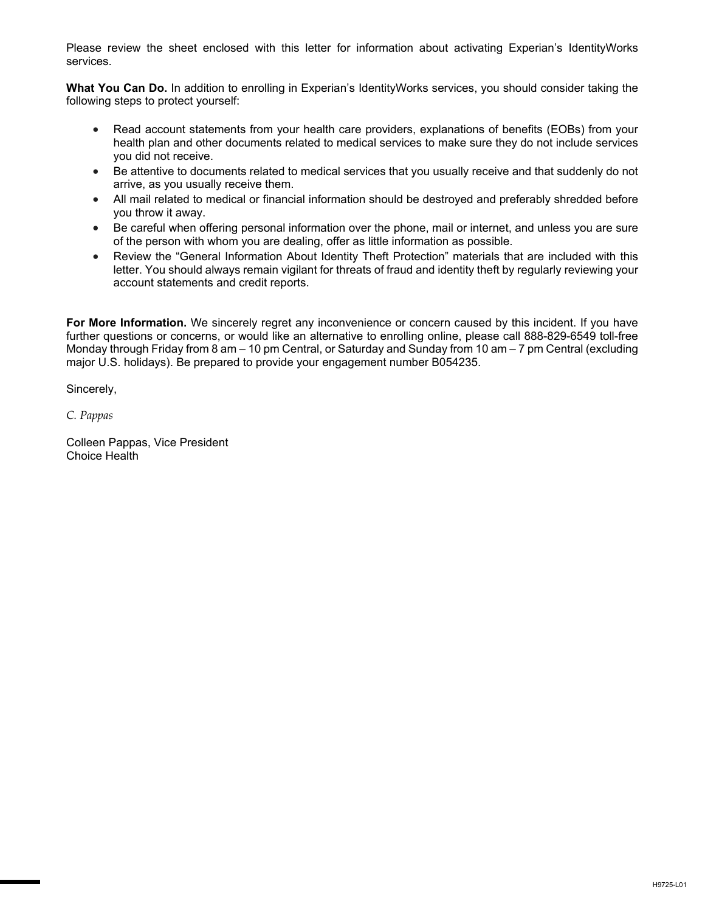Please review the sheet enclosed with this letter for information about activating Experian's IdentityWorks services.

**What You Can Do.** In addition to enrolling in Experian's IdentityWorks services, you should consider taking the following steps to protect yourself:

- Read account statements from your health care providers, explanations of benefits (EOBs) from your health plan and other documents related to medical services to make sure they do not include services you did not receive.
- Be attentive to documents related to medical services that you usually receive and that suddenly do not arrive, as you usually receive them.
- All mail related to medical or financial information should be destroyed and preferably shredded before you throw it away.
- Be careful when offering personal information over the phone, mail or internet, and unless you are sure of the person with whom you are dealing, offer as little information as possible.
- Review the "General Information About Identity Theft Protection" materials that are included with this letter. You should always remain vigilant for threats of fraud and identity theft by regularly reviewing your account statements and credit reports.

**For More Information.** We sincerely regret any inconvenience or concern caused by this incident. If you have further questions or concerns, or would like an alternative to enrolling online, please call 888-829-6549 toll-free Monday through Friday from 8 am – 10 pm Central, or Saturday and Sunday from 10 am – 7 pm Central (excluding major U.S. holidays). Be prepared to provide your engagement number B054235.

Sincerely,

*C. Pappas*

Colleen Pappas, Vice President Choice Health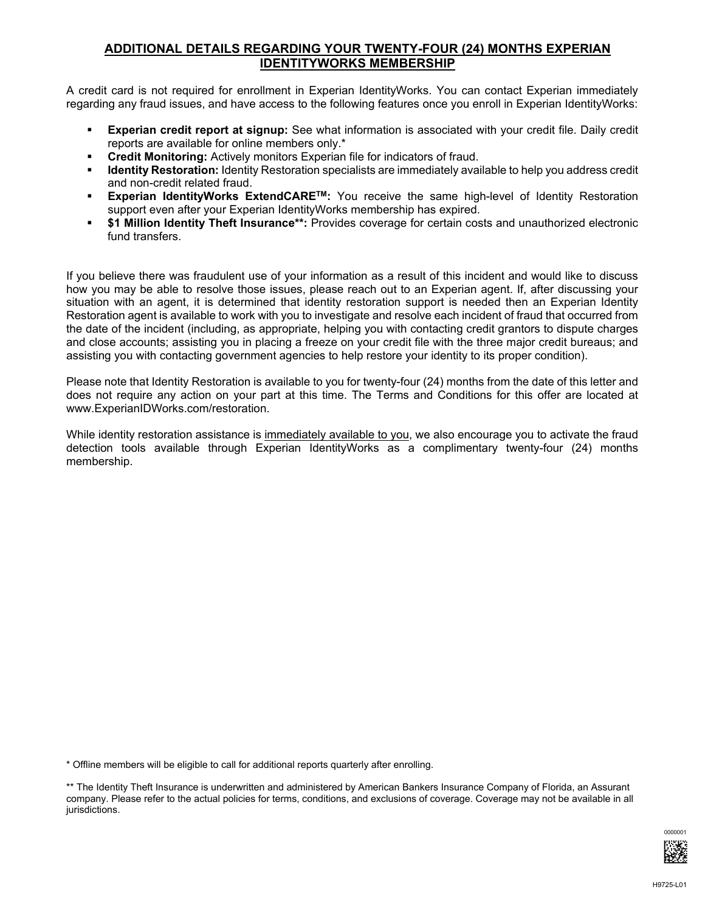## **ADDITIONAL DETAILS REGARDING YOUR TWENTY-FOUR (24) MONTHS EXPERIAN IDENTITYWORKS MEMBERSHIP**

A credit card is not required for enrollment in Experian IdentityWorks. You can contact Experian immediately regarding any fraud issues, and have access to the following features once you enroll in Experian IdentityWorks:

- **Experian credit report at signup:** See what information is associated with your credit file. Daily credit reports are available for online members only.\*
- **Credit Monitoring:** Actively monitors Experian file for indicators of fraud.
- **Identity Restoration:** Identity Restoration specialists are immediately available to help you address credit and non-credit related fraud.
- **Experian IdentityWorks ExtendCARE<sup>TM</sup>:** You receive the same high-level of Identity Restoration support even after your Experian IdentityWorks membership has expired.
- **\$1 Million Identity Theft Insurance\*\*:** Provides coverage for certain costs and unauthorized electronic fund transfers.

If you believe there was fraudulent use of your information as a result of this incident and would like to discuss how you may be able to resolve those issues, please reach out to an Experian agent. If, after discussing your situation with an agent, it is determined that identity restoration support is needed then an Experian Identity Restoration agent is available to work with you to investigate and resolve each incident of fraud that occurred from the date of the incident (including, as appropriate, helping you with contacting credit grantors to dispute charges and close accounts; assisting you in placing a freeze on your credit file with the three major credit bureaus; and assisting you with contacting government agencies to help restore your identity to its proper condition).

Please note that Identity Restoration is available to you for twenty-four (24) months from the date of this letter and does not require any action on your part at this time. The Terms and Conditions for this offer are located at www.ExperianIDWorks.com/restoration.

While identity restoration assistance is immediately available to you, we also encourage you to activate the fraud detection tools available through Experian IdentityWorks as a complimentary twenty-four (24) months membership.

\* Offline members will be eligible to call for additional reports quarterly after enrolling.

<sup>\*\*</sup> The Identity Theft Insurance is underwritten and administered by American Bankers Insurance Company of Florida, an Assurant company. Please refer to the actual policies for terms, conditions, and exclusions of coverage. Coverage may not be available in all jurisdictions.